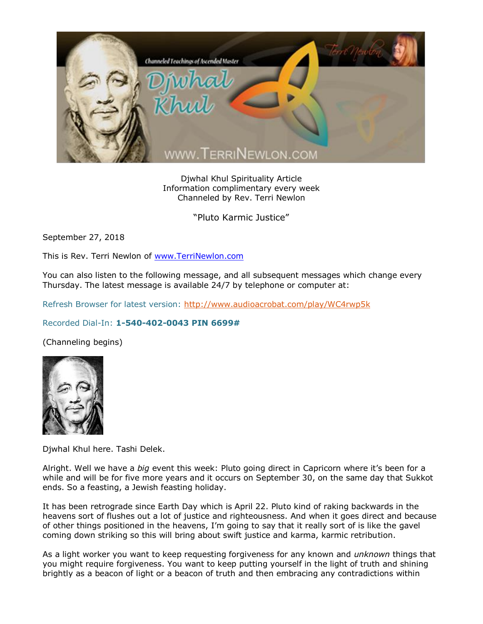

Djwhal Khul Spirituality Article Information complimentary every week Channeled by Rev. Terri Newlon

"Pluto Karmic Justice"

September 27, 2018

This is Rev. Terri Newlon of [www.TerriNewlon.com](http://www.terrinewlon.com/)

You can also listen to the following message, and all subsequent messages which change every Thursday. The latest message is available 24/7 by telephone or computer at:

Refresh Browser for latest version:<http://www.audioacrobat.com/play/WC4rwp5k>

## Recorded Dial-In: **1-540-402-0043 PIN 6699#**

(Channeling begins)



Djwhal Khul here. Tashi Delek.

Alright. Well we have a *big* event this week: Pluto going direct in Capricorn where it's been for a while and will be for five more years and it occurs on September 30, on the same day that Sukkot ends. So a feasting, a Jewish feasting holiday.

It has been retrograde since Earth Day which is April 22. Pluto kind of raking backwards in the heavens sort of flushes out a lot of justice and righteousness. And when it goes direct and because of other things positioned in the heavens, I'm going to say that it really sort of is like the gavel coming down striking so this will bring about swift justice and karma, karmic retribution.

As a light worker you want to keep requesting forgiveness for any known and *unknown* things that you might require forgiveness. You want to keep putting yourself in the light of truth and shining brightly as a beacon of light or a beacon of truth and then embracing any contradictions within